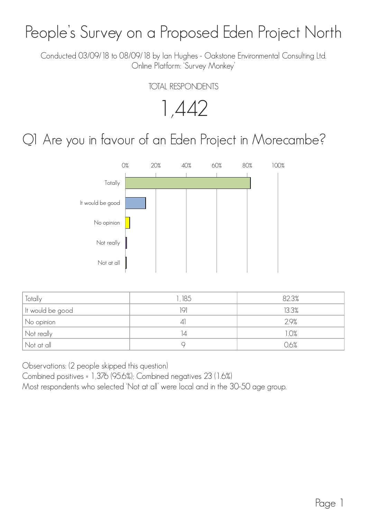# People's Survey on a Proposed Eden Project North

Conducted 03/09/18 to 08/09/18 by Ian Hughes - Oakstone Environmental Consulting Ltd. Online Platform: 'Survey Monkey'

TOTAL RESPONDENTS

1,442

Q1 Are you in favour of an Eden Project in Morecambe?



| Totally          | ,185           | 82.3% |
|------------------|----------------|-------|
| It would be good | 191            | 13.3% |
| No opinion       | 4 <sup>1</sup> | 2.9%  |
| Not really       | 14             | 1.0%  |
| Not at all       |                | 0.6%  |

Observations: (2 people skipped this question)

Combined positives = 1,376 (95.6%); Combined negatives 23 (1.6%)

Most respondents who selected 'Not at all' were local and in the 30-50 age group.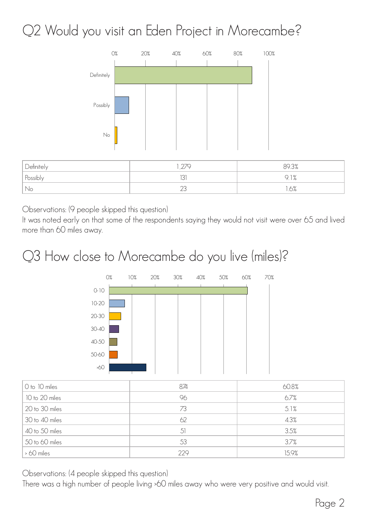## Q2 Would you visit an Eden Project in Morecambe?



| Definitely | 27C              | 89.3%                                |
|------------|------------------|--------------------------------------|
| Possibly   | `רו<br>IV        | $\sim$ 0/<br>7. I /o<br>$\checkmark$ |
| No         | $\cap$<br>$\sim$ | 1.6%                                 |

Observations: (9 people skipped this question)

It was noted early on that some of the respondents saying they would not visit were over 65 and lived more than 60 miles away.

#### Q3 How close to Morecambe do you live (miles)?



| O to 10 miles  | 874            | 60.8% |
|----------------|----------------|-------|
| 10 to 20 miles | 96             | 6.7%  |
| 20 to 30 miles | 73             | 5.1%  |
| 30 to 40 miles | 62             | 4.3%  |
| 40 to 50 miles | 5 <sub>l</sub> | 3.5%  |
| 50 to 60 miles | 53             | 3.7%  |
| > 60 miles     | 229            | 15.9% |

Observations: (4 people skipped this question)

There was a high number of people living >60 miles away who were very positive and would visit.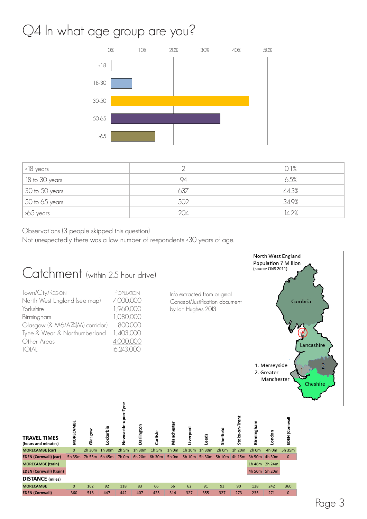### Q4 In what age group are you?



| $ $ < 18 years         |     | 0.1%  |
|------------------------|-----|-------|
| 18 to 30 years         | 94  | 6.5%  |
| $30$ to 50 years       | 637 | 44.3% |
| $\vert$ 50 to 65 years | 502 | 34.9% |
| $\sim$ 5 years         | 204 | 14.2% |

Observations (3 people skipped this question)

Not unexpectedly there was a low number of respondents <30 years of age.

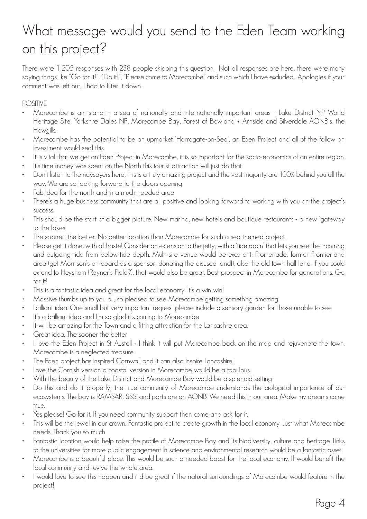### What message would you send to the Eden Team working on this project?

There were 1,205 responses with 238 people skipping this question. Not all responses are here, there were many saying things like "Go for it!", "Do it!", "Please come to Morecambe" and such which I have excluded. Apologies if your comment was left out, I had to filter it down.

#### POSITIVE

- Morecambe is an island in a sea of nationally and internationally important areas Lake District NP World Heritage Site, Yorkshire Dales NP, Morecambe Bay, Forest of Bowland + Arnside and Silverdale AONB's, the Howgills.
- • Morecambe has the potential to be an upmarket 'Harrogate-on-Sea', an Eden Project and all of the follow on investment would seal this.
- It is vital that we get an Eden Project in Morecambe, it is so important for the socio-economics of an entire region.
- It's time money was spent on the North this tourist attraction will just do that.
- • Don't listen to the naysayers here, this is a truly amazing project and the vast majority are 100% behind you all the way. We are so looking forward to the doors opening
- Fab idea for the north and in a much needed area
- There's a huge business community that are all positive and looking forward to working with you on the project's success
- This should be the start of a bigger picture. New marina, new hotels and boutique restaurants a new 'gateway to the lakes'
- The sooner, the better. No better location than Morecambe for such a sea themed project.
- Please get it done, with all haste! Consider an extension to the jetty, with a 'tide room' that lets you see the incoming and outgoing tide from below-tide depth. Multi-site venue would be excellent: Promenade, former Frontierland area (get Morrison's on-board as a sponsor, donating the disused land!), also the old town hall land. If you could extend to Heysham (Rayner's Field?), that would also be great. Best prospect in Morecambe for generations. Go for it!
- This is a fantastic idea and great for the local economy. It's a win win!
- Massive thumbs up to you all, so pleased to see Morecambe getting something amazing.
- Brilliant idea. One small but very important request please include a sensory garden for those unable to see
- It's a brilliant idea and I'm so glad it's coming to Morecambe
- It will be amazing for the Town and a fitting attraction for the Lancashire area.
- Great idea. The sooner the better
- I love the Eden Project in St Austell I think it will put Morecambe back on the map and rejuvenate the town. Morecambe is a neglected treasure.
- The Eden project has inspired Cornwall and it can also inspire Lancashire!
- Love the Cornish version a coastal version in Morecambe would be a fabulous
- With the beauty of the Lake District and Morecambe Bay would be a splendid setting
- Do this and do it properly; the true community of Morecambe understands the biological importance of our ecosystems. The bay is RAMSAR, SSSi and parts are an AONB. We need this in our area. Make my dreams come true.
- Yes please! Go for it. If you need community support then come and ask for it.
- This will be the jewel in our crown. Fantastic project to create growth in the local economy. Just what Morecambe needs. Thank you so much
- • Fantastic location would help raise the profile of Morecambe Bay and its biodiversity, culture and heritage. Links to the universities for more public engagement in science and environmental research would be a fantastic asset.
- Morecambe is a beautiful place. This would be such a needed boost for the local economy. If would benefit the local community and revive the whole area.
- I would love to see this happen and it'd be great if the natural surroundings of Morecambe would feature in the project!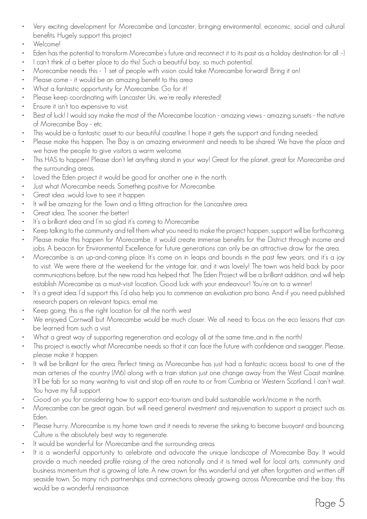- Very exciting development for Morecambe and Lancaster, bringing environmental, economic, social and cultural benefits. Hugely support this project
- Welcome!
- Eden has the potential to transform Morecambe's future and reconnect it to its past as a holiday destination for all :-)
- I can't think of a better place to do this! Such a beautiful bay, so much potential.
- Morecambe needs this 1 set of people with vision could take Morecambe forward! Bring it on!
- Please come it would be an amazing benefit to this area
- What a fantastic opportunity for Morecambe. Go for it!
- Please keep coordinating with Lancaster Uni, we're really interested!
- Ensure it isn't too expensive to visit.
- Best of luck! I would say make the most of the Morecambe location amazing views amazing sunsets the nature of Morecambe Bay - etc.
- This would be a fantastic asset to our beautiful coastline. I hope it gets the support and funding needed.
- Please make this happen. The Bay is an amazing environment and needs to be shared. We have the place and we have the people to give visitors a warm welcome.
- This HAS to happen! Please don't let anything stand in your way! Great for the planet, great for Morecambe and the surrounding areas.
- Loved the Eden project it would be good for another one in the north.
- Just what Morecambe needs. Something positive for Morecambe.
- Great idea , would love to see it happen
- It will be amazing for the Town and a fitting attraction for the Lancashire area.
- Great idea. The sooner the better!
- It's a brilliant idea and I'm so glad it's coming to Morecambe
- Keep talking to the community and tell them what you need to make the project happen, support will be forthcoming.
- Please make this happen for Morecambe, it would create immense benefits for the District through income and jobs. A beacon for Environmental Excellence for future generations can only be an attractive draw for the area.
- Morecambe is an up-and-coming place. It's come on in leaps and bounds in the past few years, and it's a joy to visit. We were there at the weekend for the vintage fair, and it was lovely! The town was held back by poor communications before, but the new road has helped that. The Eden Project will be a brilliant addition, and will help establish Morecambe as a must-visit location. Good luck with your endeavour! You're on to a winner!
- • It's a great idea. I'd support this. I'd also help you to commence an evaluation pro bono. And if you need published research papers on relevant topics, email me.
- Keep going, this is the right location for all the north west
- We enjoyed Cornwall but Morecambe would be much closer. We all need to focus on the eco lessons that can be learned from such a visit.
- What a great way of supporting regeneration and ecology all at the same time...and in the north!
- This project is exactly what Morecambe needs so that it can face the future with confidence and swagger. Please, please make it happen.
- It will be brilliant for the area. Perfect timing as Morecambe has just had a fantastic access boost to one of the main arteries of the country (M6) along with a train station just one change away from the West Coast mainline. It'll be fab for so many wanting to visit and stop off en route to or from Cumbria or Western Scotland. I can't wait. You have my full support.
- • Good on you for considering how to support eco-tourism and build sustainable work/income in the north.
- • Morecambe can be great again, but will need general investment and rejuvenation to support a project such as Eden.
- Please hurry. Morecambe is my home town and it needs to reverse the sinking to become buoyant and bouncing. Culture is the absolutely best way to regenerate.
- It would be wonderful for Morecambe and the surrounding areas.
- It is a wonderful opportunity to celebrate and advocate the unique landscape of Morecambe Bay. It would provide a much needed profile raising of the area nationally and it is timed well for local arts, community and business momentum that is growing of late. A new crown for this wonderful and yet often forgotten and written off seaside town. So many rich partnerships and connections already growing across Morecambe and the bay, this would be a wonderful renaissance.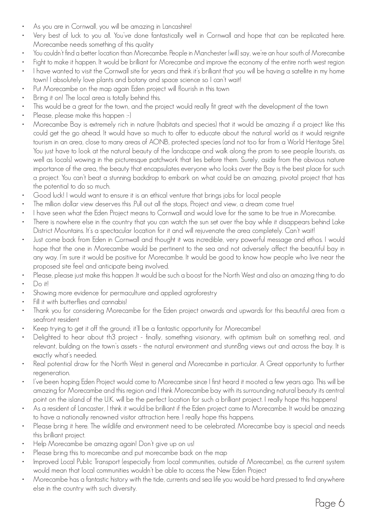- As you are in Cornwall, you will be amazing in Lancashire!
- Very best of luck to you all. You've done fantastically well in Cornwall and hope that can be replicated here. Morecambe needs something of this quality
- • You couldn't find a better location than Morecambe. People in Manchester (will) say, we're an hour south of Morecambe
- Fight to make it happen. It would be brilliant for Morecambe and improve the economy of the entire north west region
- I have wanted to visit the Cornwall site for years and think it's brilliant that you will be having a satellite in my home town! I absolutely love plants and botany and space science so I can't wait!
- Put Morecambe on the map again Eden project will flourish in this town
- Bring it on! The local area is totally behind this.
- This would be a great for the town, and the project would really fit great with the development of the town
- Please, please make this happen :-)
- Morecambe Bay is extremely rich in nature (habitats and species) that it would be amazing if a project like this could get the go ahead. It would have so much to offer to educate about the natural world as it would reignite tourism in an area, close to many areas of AONB, protected species (and not too far from a World Heritage Site). You just have to look at the natural beauty of the landscape and walk along the prom to see people (tourists, as well as locals) wowing in the picturesque patchwork that lies before them. Surely, aside from the obvious nature importance of the area, the beauty that encapsulates everyone who looks over the Bay is the best place for such a project. You can't beat a stunning backdrop to embark on what could be an amazing, pivotal project that has the potential to do so much.
- • Good luck! I would want to ensure it is an ethical venture that brings jobs for local people
- The million dollar view deserves this .Pull out all the stops, Project and view, a dream come true!
- I have seen what the Eden Project means to Cornwall and would love for the same to be true in Morecambe.
- There is nowhere else in the country that you can watch the sun set over the bay while it disappears behind Lake District Mountains. It's a spectacular location for it and will rejuvenate the area completely. Can't wait!
- Just come back from Eden in Cornwall and thought it was incredible, very powerful message and ethos. I would hope that the one in Morecambe would be pertinent to the sea and not adversely affect the beautiful bay in any way. I'm sure it would be positive for Morecambe. It would be good to know how people who live near the proposed site feel and anticipate being involved.
- Please, please just make this happen .It would be such a boost for the North West and also an amazing thing to do
- $\bigcap_{\Omega}$  it!
- Showing more evidence for permaculture and applied agroforestry
- Fill it with butterflies and cannabis!
- Thank you for considering Morecambe for the Eden project onwards and upwards for this beautiful area from a seafront resident
- Keep trying to get it off the ground; it'll be a fantastic opportunity for Morecambe!
- Delighted to hear about th3 project finally, something visionary, with optimism built on something real, and relevant, building on the town's assets - the natural environment and stunn8ng views out and across the bay. It is exactly what's needed.
- Real potential draw for the North West in general and Morecambe in particular. A Great opportunity to further regeneration.
- I've been hoping Eden Project would come to Morecambe since I first heard it mooted a few years ago. This will be amazing for Morecambe and this region and I think Morecambe bay with its surrounding natural beauty its central point on the island of the U.K. will be the perfect location for such a brilliant project. I really hope this happens!
- As a resident of Lancaster, I think it would be brilliant if the Eden project came to Morecambe. It would be amazing to have a nationally renowned visitor attraction here. I really hope this happens.
- Please bring it here. The wildlife and environment need to be celebrated. Morecambe bay is special and needs this brilliant project.
- Help Morecambe be amazing again! Don't give up on us!
- Please bring this to morecambe and put morecambe back on the map
- Improved Local Public Transport (especially from local communities, outside of Morecambe), as the current system would mean that local communities wouldn't be able to access the New Eden Project
- • Morecambe has a fantastic history with the tide, currents and sea life you would be hard pressed to find anywhere else in the country with such diversity.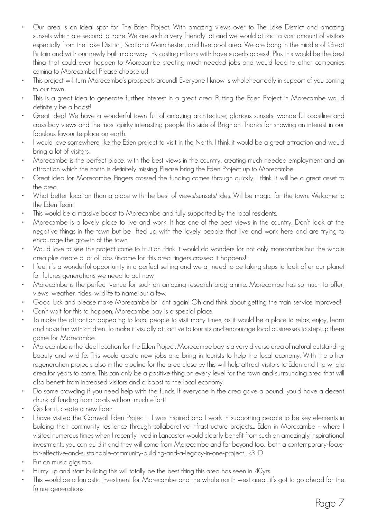- Our area is an ideal spot for The Eden Project. With amazing views over to The Lake District and amazing sunsets which are second to none. We are such a very friendly lot and we would attract a vast amount of visitors especially from the Lake District, Scotland Manchester, and Liverpool area. We are bang in the middle of Great Britain and with our newly built motorway link costing millions with have superb access!! Plus this would be the best thing that could ever happen to Morecambe creating much needed jobs and would lead to other companies coming to Morecambe! Please choose us!
- This project will turn Morecambe's prospects around! Everyone I know is wholeheartedly in support of you coming to our town.
- This is a great idea to generate further interest in a great area. Putting the Eden Project in Morecambe would definitely be a boost!
- Great idea! We have a wonderful town full of amazing architecture, glorious sunsets, wonderful coastline and cross bay views and the most quirky interesting people this side of Brighton. Thanks for showing an interest in our fabulous favourite place on earth.
- I would love somewhere like the Eden project to visit in the North. I think it would be a great attraction and would bring a lot of visitors.
- Morecambe is the perfect place, with the best views in the country, creating much needed employment and an attraction which the north is definitely missing. Please bring the Eden Project up to Morecambe.
- • Great idea for Morecambe. Fingers crossed the funding comes through quickly. I think it will be a great asset to the area.
- • What better location than a place with the best of views/sunsets/tides. Will be magic for the town. Welcome to the Eden Team.
- This would be a massive boost to Morecambe and fully supported by the local residents.
- Morecambe is a lovely place to live and work. It has one of the best views in the country. Don't look at the negative things in the town but be lifted up with the lovely people that live and work here and are trying to encourage the growth of the town.
- Would love to see this project come to fruition...think it would do wonders for not only morecambe but the whole area plus create a lot of jobs /income for this area...fingers crossed it happens!!
- I feel it's a wonderful opportunity in a perfect setting and we all need to be taking steps to look after our planet for futures generations we need to act now
- Morecambe is the perfect venue for such an amazing research programme. Morecambe has so much to offer, views, weather, tides, wildlife to name but a few.
- Good luck and please make Morecambe brilliant again! Oh and think about getting the train service improved!
- Can't wait for this to happen. Morecambe bay is a special place
- • To make the attraction appealing to local people to visit many times, as it would be a place to relax, enjoy, learn and have fun with children. To make it visually attractive to tourists and encourage local businesses to step up there game for Morecambe.
- Morecambe is the ideal location for the Eden Project. Morecambe bay is a very diverse area of natural outstanding beauty and wildlife. This would create new jobs and bring in tourists to help the local economy. With the other regeneration projects also in the pipeline for the area close by this will help attract visitors to Eden and the whole area for years to come. This can only be a positive thing on every level for the town and surrounding area that will also benefit from increased visitors and a boost to the local economy.
- Do some crowding if you need help with the funds. If everyone in the area gave a pound, you'd have a decent chunk of funding from locals without much effort!
- Go for it, create a new Eden.
- I have visited the Cornwall Eden Project I was inspired and I work in supporting people to be key elements in building their community resilience through collaborative infrastructure projects... Eden in Morecambe - where I visited numerous times when I recently lived in Lancaster would clearly benefit from such an amazingly inspirational investment... you can build it and they will come from Morecambe and far beyond too... both a contemporary-focusfor-effective-and-sustainable-community-building-and-a-legacy-in-one-project... <3 :D
- Put on music gigs too.
- Hurry up and start building this will totally be the best thing this area has seen in 40yrs
- This would be a fantastic investment for Morecambe and the whole north west area ...it's got to go ahead for the future generations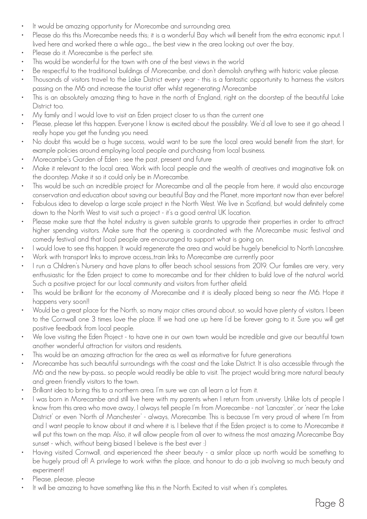- It would be amazing opportunity for Morecombe and surrounding area.
- Please do this this Morecambe needs this; it is a wonderful Bay which will benefit from the extra economic input. I lived here and worked there a while ago..... the best view in the area looking out over the bay,
- Please do it. Morecambe is the perfect site.
- This would be wonderful for the town with one of the best views in the world
- Be respectful to the traditional buildings of Morecambe, and don't demolish anything with historic value please.
- Thousands of visitors travel to the Lake District every year this is a fantastic opportunity to harness the visitors passing on the M6 and increase the tourist offer whilst regenerating Morecambe
- This is an absolutely amazing thing to have in the north of England, right on the doorstep of the beautiful Lake District too.
- My family and I would love to visit an Eden project closer to us than the current one
- Please, please let this happen. Everyone I know is excited about the possibility. We'd all love to see it go ahead. I really hope you get the funding you need.
- No doubt this would be a huge success, would want to be sure the local area would benefit from the start, for example policies around employing local people and purchasing from local business.
- Morecambe's Garden of Eden : see the past, present and future
- Make it relevant to the local area. Work with local people and the wealth of creatives and imaginative folk on the doorstep. Make it so it could only be in Morecambe.
- This would be such an incredible project for Morecambe and all the people from here, it would also encourage conservation and education about saving our beautiful Bay and the Planet, more important now than ever before!
- Fabulous idea to develop a large scale project in the North West. We live in Scotland, but would definitely come down to the North West to visit such a project - it's a good central UK location.
- Please make sure that the hotel industry is given suitable grants to upgrade their properties in order to attract higher spending visitors. Make sure that the opening is coordinated with the Morecambe music festival and comedy festival and that local people are encouraged to support what is going on.
- I would love to see this happen. It would regenerate the area and would be hugely beneficial to North Lancashire.
- Work with transport links to improve access...train links to Morecambe are currently poor
- I run a Children's Nursery and have plans to offer beach school sessions from 2019. Our families are very, very enthusiastic for the Eden project to come to morecambe and for their children to build love of the natural world. Such a positive project for our local community and visitors from further afield.
- This would be brilliant for the economy of Morecambe and it is ideally placed being so near the M6. Hope it happens very soon!!
- Would be a great place for the North, so many major cities around about, so would have plenty of visitors. I been to the Cornwall one 3 times love the place. If we had one up here I'd be forever going to it. Sure you will get positive feedback from local people.
- We love visiting the Eden Project to have one in our own town would be incredible and give our beautiful town another wonderful attraction for visitors and residents.
- This would be an amazing attraction for the area as well as informative for future generations
- Morecambe has such beautiful surroundings with the coast and the Lake District. It is also accessible through the M6 and the new by-pass... so people would readily be able to visit. The project would bring more natural beauty and green friendly visitors to the town.
- Brilliant idea to bring this to a northern area. I'm sure we can all learn a lot from it.
- I was born in Morecambe and still live here with my parents when I return from university. Unlike lots of people I know from this area who move away, I always tell people I'm from Morecambe - not 'Lancaster', or 'near the Lake District' or even 'North of Manchester' - always, Morecambe. This is because I'm very proud of where I'm from and I want people to know about it and where it is. I believe that if the Eden project is to come to Morecambe it will put this town on the map. Also, it will allow people from all over to witness the most amazing Morecambe Bay sunset - which, without being biased I believe is the best ever :)
- Having visited Cornwall, and experienced the sheer beauty a similar place up north would be something to be hugely proud of! A privilege to work within the place, and honour to do a job involving so much beauty and experiment!
- Please, please, please
- It will be amazing to have something like this in the North. Excited to visit when it's completes.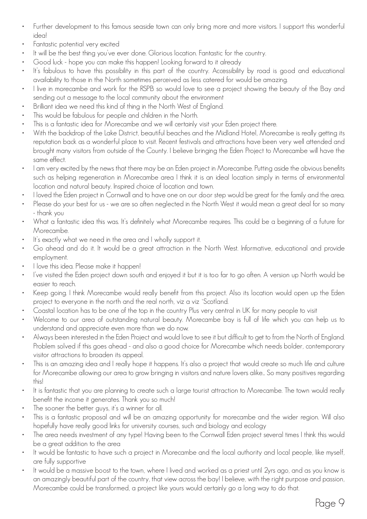- Further development to this famous seaside town can only bring more and more visitors. I support this wonderful idea!
- Fantastic potential very excited
- It will be the best thing you've ever done. Glorious location. Fantastic for the country.
- Good luck hope you can make this happen! Looking forward to it already
- It's fabulous to have this possibility in this part of the country. Accessibility by road is good and educational availability to those in the North sometimes perceived as less catered for would be amazing.
- I live in morecambe and work for the RSPB so would love to see a project showing the beauty of the Bay and sending out a message to the local community about the environment
- Brilliant idea we need this kind of thing in the North West of England.
- This would be fabulous for people and children in the North.
- This is a fantastic idea for Morecambe and we will certainly visit your Eden project there.
- With the backdrop of the Lake District, beautiful beaches and the Midland Hotel, Morecambe is really getting its reputation back as a wonderful place to visit. Recent festivals and attractions have been very well attended and brought many visitors from outside of the County. I believe bringing the Eden Project to Morecambe will have the same effect.
- I am very excited by the news that there may be an Eden project in Morecambe. Putting aside the obvious benefits such as helping regeneration in Morecambe area I think it is an ideal location simply in terms of environmental location and natural beauty. Inspired choice of location and town.
- I loved the Eden project in Cornwall and to have one on our door step would be great for the family and the area.
- Please do your best for us we are so often neglected in the North West it would mean a great deal for so many - thank you
- What a fantastic idea this was. It's definitely what Morecambe requires. This could be a beginning of a future for Morecambe.
- • It's exactly what we need in the area and I wholly support it.
- Go ahead and do it. It would be a great attraction in the North West. Informative, educational and provide employment.
- I love this idea. Please make it happen!
- I've visited the Eden project down south and enjoyed it but it is too far to go often. A version up North would be easier to reach.
- Keep going. I think Morecambe would really benefit from this project. Also its location would open up the Eden project to everyone in the north and the real north, viz a viz `Scotland.
- Coastal location has to be one of the top in the country Plus very central in UK for many people to visit
- Welcome to our area of outstanding natural beauty. Morecambe bay is full of life which you can help us to understand and appreciate even more than we do now.
- Always been interested in the Eden Project and would love to see it but difficult to get to from the North of England. Problem solved if this goes ahead - and also a good choice for Morecambe which needs bolder, contemporary visitor attractions to broaden its appeal.
- This is an amazing idea and I really hope it happens. It's also a project that would create so much life and culture for Morecambe allowing our area to grow bringing in visitors and nature lovers alike... So many positives regarding this!
- It is fantastic that you are planning to create such a large tourist attraction to Morecambe. The town would really benefit the income it generates. Thank you so much!
- The sooner the better guys, it's a winner for all.
- This is a fantastic proposal and will be an amazing opportunity for morecambe and the wider region. Will also hopefully have really good links for university courses, such and biology and ecology
- The area needs investment of any type! Having been to the Cornwall Eden project several times I think this would be a great addition to the area
- It would be fantastic to have such a project in Morecambe and the local authority and local people, like myself, are fully supportive
- It would be a massive boost to the town, where I lived and worked as a priest until 2yrs ago, and as you know is an amazingly beautiful part of the country, that view across the bay! I believe, with the right purpose and passion, Morecambe could be transformed, a project like yours would certainly go a long way to do that.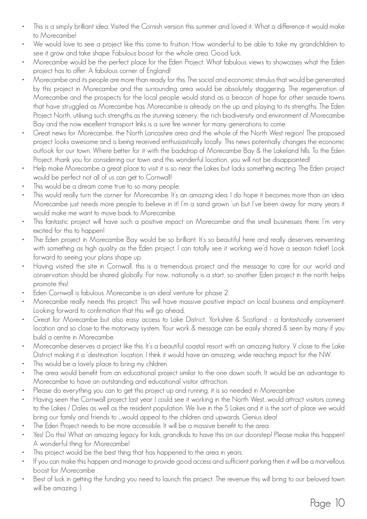- This is a simply brilliant idea. Visited the Cornish version this summer and loved it. What a difference it would make to Morecambe!
- We would love to see a project like this come to fruition. How wonderful to be able to take my grandchildren to see it grow and take shape. Fabulous boost for the whole area. Good luck.
- • Morecambe would be the perfect place for the Eden Project. What fabulous views to showcases what the Eden project has to offer. A fabulous corner of England!
- Morecambe and its people are more than ready for this. The social and economic stimulus that would be generated by this project in Morecambe and the surrounding area would be absolutely staggering. The regeneration of Morecambe and the prospects for the local people would stand as a beacon of hope for other seaside towns that have struggled as Morecambe has. Morecambe is already on the up and playing to its strengths. The Eden Project North, utilising such strengths as the stunning scenery, the rich biodiversity and environment of Morecambe Bay and the now excellent transport links is a sure fire winner for many generations to come.
- Great news for Morecambe, the North Lancashire area and the whole of the North West region! The proposed project looks awesome and is being received enthusiastically locally. This news potentially changes the economic outlook for our town. Where better for it with the backdrop of Morecambe Bay & the Lakeland hills. To the Eden Project, thank you for considering our town and this wonderful location, you will not be disappointed!
- • Help make Morecambe a great place to visit it is so near the Lakes but lacks something exciting. The Eden project would be perfect not all of us can get to Cornwall!
- This would be a dream come true to so many people.
- This would really turn the corner for Morecambe. It's an amazing idea. I do hope it becomes more than an idea. Morecambe just needs more people to believe in it! I'm a sand grown 'un but I've been away for many years it would make me want to move back to Morecambe.
- This fantastic project will have such a positive impact on Morecambe and the small businesses there. I'm very excited for this to happen!
- The Eden project in Morecambe Bay would be so brilliant. It's so beautiful here and really deserves reinventing with something as high quality as the Eden project. I can totally see it working we'd have a season ticket! Look forward to seeing your plans shape up.
- Having visited the site in Cornwall, this is a tremendous project and the message to care for our world and conservation should be shared globally. For now, nationally is a start, so another Eden project in the north helps promote this!
- Eden Cornwall is fabulous. Morecambe is an ideal venture for phase 2.
- Morecambe really needs this project. This will have massive positive impact on local business and employment. Looking forward to confirmation that this will go ahead.
- Great for Morecambe but also easy access to Lake District, Yorkshire & Scotland a fantastically convenient location and so close to the motorway system. Your work & message can be easily shared & seen by many if you build a centre in Morecambe.
- Morecambe deserves a project like this. It's a beautiful coastal resort with an amazing history. V close to the Lake District making it a 'destination' location. I think it would have an amazing, wide reaching impact for the NW.
- This would be a lovely place to bring my children
- The area would benefit from an educational project similar to the one down south. It would be an advantage to Morecambe to have an outstanding and educational visitor attraction.
- Please do everything you can to get this project up and running, it is so needed in Morecambe
- Having seen the Cornwall project last year I could see it working in the North West... would attract visitors coming to the Lakes / Dales as well as the resident population. We live in the S Lakes and it is the sort of place we would bring our family and friends to ....would appeal to the children and upwards. Genius idea!
- The Eden Project needs to be more accessible. It will be a massive benefit to the area.
- Yes! Do this! What an amazing legacy for kids, grandkids to have this on our doorstep! Please make this happen! A wonderful thing for Morecambe!
- This project would be the best thing that has happened to the area in years.
- If you can make this happen and manage to provide good access and sufficient parking then it will be a marvellous boost for Morecambe
- Best of luck in getting the funding you need to launch this project. The revenue this will bring to our beloved town will be amazing :)